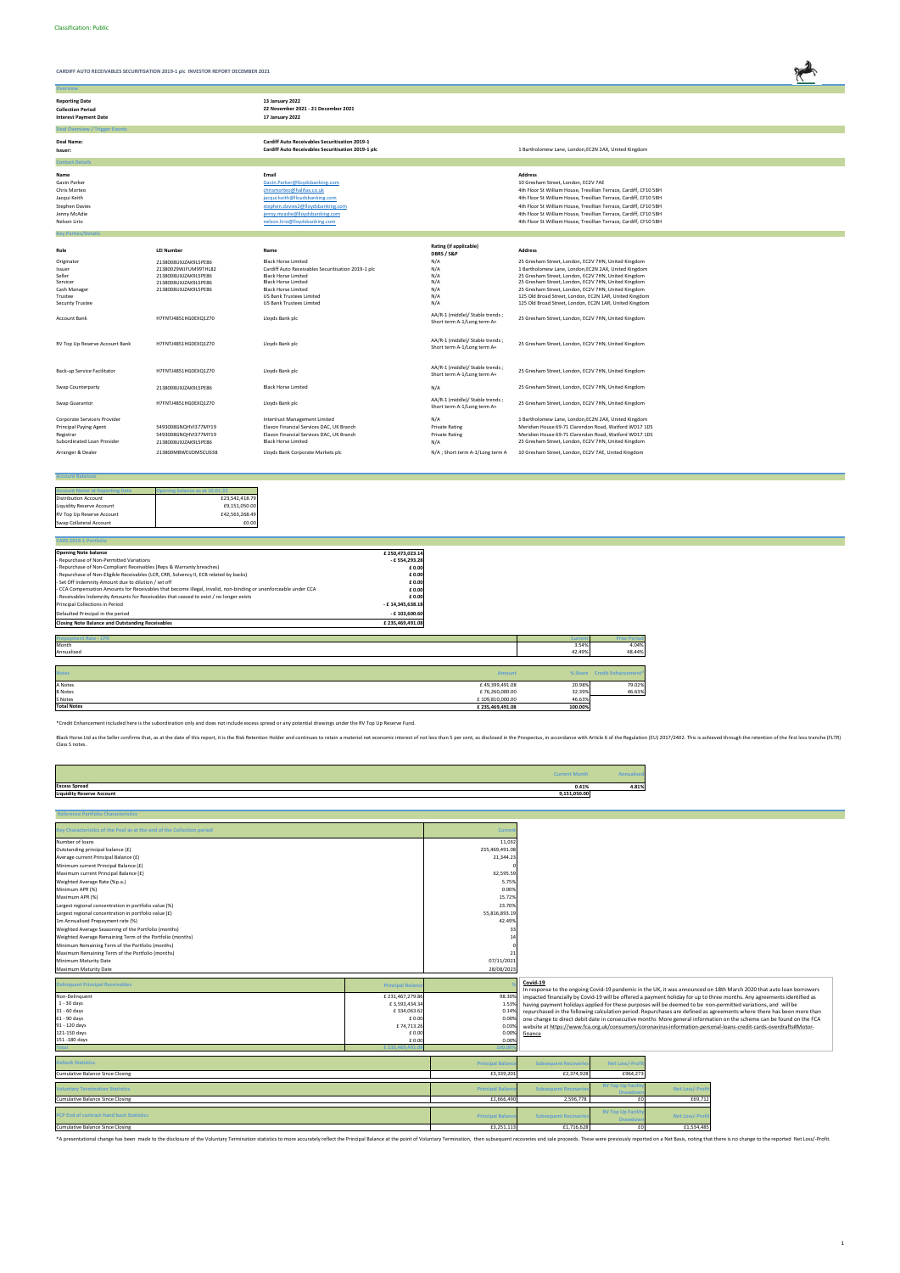

| <b>Overview</b>                                                                                               |                                                                                                                      |                                                                                                                                                                                                                                           |                                                                                                   |                                                                                                                                                                                                                                                                                                                                                                                                                |
|---------------------------------------------------------------------------------------------------------------|----------------------------------------------------------------------------------------------------------------------|-------------------------------------------------------------------------------------------------------------------------------------------------------------------------------------------------------------------------------------------|---------------------------------------------------------------------------------------------------|----------------------------------------------------------------------------------------------------------------------------------------------------------------------------------------------------------------------------------------------------------------------------------------------------------------------------------------------------------------------------------------------------------------|
| <b>Reporting Date</b><br><b>Collection Period</b><br><b>Interest Payment Date</b>                             |                                                                                                                      | 13 January 2022<br>22 November 2021 - 21 December 2021<br>17 January 2022                                                                                                                                                                 |                                                                                                   |                                                                                                                                                                                                                                                                                                                                                                                                                |
| <b>Deal Overview / Trigger Events</b>                                                                         |                                                                                                                      |                                                                                                                                                                                                                                           |                                                                                                   |                                                                                                                                                                                                                                                                                                                                                                                                                |
| Deal Name:<br>Issuer:                                                                                         |                                                                                                                      | <b>Cardiff Auto Receivables Securitisation 2019-1</b><br>Cardiff Auto Receivables Securitisation 2019-1 plc                                                                                                                               |                                                                                                   | 1 Bartholomew Lane, London, EC2N 2AX, United Kingdom                                                                                                                                                                                                                                                                                                                                                           |
| <b>Contact Details</b>                                                                                        |                                                                                                                      |                                                                                                                                                                                                                                           |                                                                                                   |                                                                                                                                                                                                                                                                                                                                                                                                                |
| Name<br>Gavin Parker<br>Chris Morteo<br>Jacqui Keith<br><b>Stephen Davies</b><br>Jenny McAdie<br>Nelson Lirio |                                                                                                                      | Email<br>Gavin.Parker@lloydsbanking.com<br>chrismorteo@halifax.co.uk<br>jacqui.keith@lloydsbanking.com<br>stephen.davies2@lloydsbanking.com<br>jenny.mcadie@lloydsbanking.com<br>nelson.lirio@lloydsbanking.com                           |                                                                                                   | <b>Address</b><br>10 Gresham Street, London, EC2V 7AE<br>4th Floor St William House, Tresillian Terrace, Cardiff, CF10 5BH<br>4th Floor St William House, Tresillian Terrace, Cardiff, CF10 5BH<br>4th Floor St William House, Tresillian Terrace, Cardiff, CF10 5BH<br>4th Floor St William House, Tresillian Terrace, Cardiff, CF10 5BH<br>4th Floor St William House, Tresillian Terrace, Cardiff, CF10 5BH |
| <b>Key Parties/Detail</b>                                                                                     |                                                                                                                      |                                                                                                                                                                                                                                           |                                                                                                   |                                                                                                                                                                                                                                                                                                                                                                                                                |
| Role                                                                                                          | <b>LEI Number</b>                                                                                                    | Name                                                                                                                                                                                                                                      | Rating (if applicable)<br>DBRS / S&P                                                              | <b>Address</b>                                                                                                                                                                                                                                                                                                                                                                                                 |
| Originator<br>Issuer<br>Seller<br>Servicer<br>Cash Manager<br>Trustee<br><b>Security Trustee</b>              | 2138008UXJZAK9L5PE86<br>21380029WJFUM99THL82<br>2138008UXJZAK9L5PE86<br>2138008UXJZAK9L5PE86<br>2138008UXJZAK9L5PE86 | <b>Black Horse Limited</b><br>Cardiff Auto Receivables Securitisation 2019-1 plc<br><b>Black Horse Limited</b><br><b>Black Horse Limited</b><br><b>Black Horse Limited</b><br>US Bank Trustees Limited<br><b>US Bank Trustees Limited</b> | N/A<br>N/A<br>N/A<br>N/A<br>N/A<br>N/A<br>N/A                                                     | 25 Gresham Street, London, EC2V 7HN, United Kingdom<br>1 Bartholomew Lane, London, EC2N 2AX, United Kingdom<br>25 Gresham Street, London, EC2V 7HN, United Kingdom<br>25 Gresham Street, London, EC2V 7HN, United Kingdom<br>25 Gresham Street, London, EC2V 7HN, United Kingdom<br>125 Old Broad Street, London, EC2N 1AR, United Kingdom<br>125 Old Broad Street, London, EC2N 1AR, United Kingdom           |
| <b>Account Bank</b>                                                                                           | H7FNTJ4851HG0EXQ1Z70                                                                                                 | Lloyds Bank plc                                                                                                                                                                                                                           | AA/R-1 (middle)/ Stable trends;<br>Short term A-1/Long term A+<br>AA/R-1 (middle)/ Stable trends; | 25 Gresham Street, London, EC2V 7HN, United Kingdom                                                                                                                                                                                                                                                                                                                                                            |
| RV Top Up Reserve Account Bank                                                                                | H7FNTJ4851HG0EXQ1Z70                                                                                                 | Lloyds Bank plc                                                                                                                                                                                                                           | Short term A-1/Long term A+<br>AA/R-1 (middle)/ Stable trends;                                    | 25 Gresham Street, London, EC2V 7HN, United Kingdom                                                                                                                                                                                                                                                                                                                                                            |
| Back-up Service Facilitator                                                                                   | H7FNTJ4851HG0EXQ1Z70                                                                                                 | Lloyds Bank plc                                                                                                                                                                                                                           | Short term A-1/Long term A+                                                                       | 25 Gresham Street, London, EC2V 7HN, United Kingdom                                                                                                                                                                                                                                                                                                                                                            |
| Swap Counterparty                                                                                             | 2138008UXJZAK9L5PE86                                                                                                 | <b>Black Horse Limited</b>                                                                                                                                                                                                                | N/A                                                                                               | 25 Gresham Street, London, EC2V 7HN, United Kingdom                                                                                                                                                                                                                                                                                                                                                            |
| Swap Guarantor                                                                                                | H7FNTJ4851HG0EXQ1Z70                                                                                                 | Lloyds Bank plc                                                                                                                                                                                                                           | AA/R-1 (middle)/ Stable trends;<br>Short term A-1/Long term A+                                    | 25 Gresham Street, London, EC2V 7HN, United Kingdom                                                                                                                                                                                                                                                                                                                                                            |
| Corporate Servicers Provider<br><b>Principal Paying Agent</b><br>Registrar<br>Subordinated Loan Provider      | 5493008GNQHVI377MY19<br>5493008GNQHVI377MY19<br>2138008UXJZAK9L5PE86                                                 | <b>Intertrust Management Limited</b><br>Elavon Financial Services DAC, UK Branch<br>Elavon Financial Services DAC, UK Branch<br><b>Black Horse Limited</b>                                                                                | N/A<br><b>Private Rating</b><br><b>Private Rating</b><br>N/A                                      | 1 Bartholomew Lane, London, EC2N 2AX, United Kingdom<br>Meridien House 69-71 Clarendon Road, Watford WD17 1DS<br>Meridien House 69-71 Clarendon Road, Watford WD17 1DS<br>25 Gresham Street, London, EC2V 7HN, United Kingdom                                                                                                                                                                                  |
| Arranger & Dealer                                                                                             | 213800MBWEIJDM5CU638                                                                                                 | Lloyds Bank Corporate Markets plc                                                                                                                                                                                                         | N/A ; Short term A-1/Long term A                                                                  | 10 Gresham Street, London, EC2V 7AE, United Kingdom                                                                                                                                                                                                                                                                                                                                                            |

# **Account Name at Reporting Date Cheming balance as at 10.01.22**<br>
Distribution Account <br>
Liquidity Reserve Account **£9,151,050.00**<br>
E9,151,050.00<br>
E9,1563,268.49<br>
Swap Collateral Account **19,160.00**<br>
E0.00

**Account Balances**

| <b>CARS 2019-1 Portfolio</b>                                                                                    |                  |        |                     |
|-----------------------------------------------------------------------------------------------------------------|------------------|--------|---------------------|
| <b>Opening Note balance</b>                                                                                     | £250,473,023.14  |        |                     |
| - Repurchase of Non-Permitted Variations                                                                        | - £ 554,293.28   |        |                     |
| - Repurchase of Non-Compliant Receivables (Reps & Warranty breaches)                                            | £ 0.00           |        |                     |
| - Repurchase of Non-Eligible Receivables (LCR, CRR, Solvency II, ECB related by backs)                          | £ 0.00           |        |                     |
| - Set Off Indemnity Amount due to dilution / set off                                                            | £ 0.00           |        |                     |
| - CCA Compensation Amounts for Receivables that become illegal, invalid, non-binding or unenforceable under CCA | £ 0.00           |        |                     |
| - Receivables Indemnity Amounts for Receivables that ceased to exist / no longer exists                         | £ 0.00           |        |                     |
| Principal Collections in Period                                                                                 | - £14,345,638.18 |        |                     |
| Defaulted Principal in the period                                                                               | $-$ £ 103.600.60 |        |                     |
| <b>Closing Note Balance and Outstanding Receivables</b>                                                         | £235,469,491.08  |        |                     |
|                                                                                                                 |                  |        |                     |
| <b>Prepayment Rate - CPR</b>                                                                                    |                  | Curn   | <b>Prior Perior</b> |
| Month                                                                                                           |                  | 3.54%  | 4.04%               |
| Annualised                                                                                                      |                  | 42.49% | 48.44%              |

| S Notes<br><b>Total Notes</b> | £109,810,000.00<br>£235,469,491.08 | 46.63%<br>100.00% |                                         |
|-------------------------------|------------------------------------|-------------------|-----------------------------------------|
| <b>B</b> Notes                | £76,260,000.00                     | 32.39%            | 46.63%                                  |
| A Notes                       | £49,399,491.08                     | 20.98%            | 79.02%                                  |
| <b>Notes</b>                  | Amount                             |                   | % Share Credit Enhancement <sup>®</sup> |

| <b>Current Month</b>                             |       |
|--------------------------------------------------|-------|
| <b>Excess Spread</b><br>0.41%                    | 4.81% |
| <b>Liquidity Reserve Account</b><br>9,151,050.00 |       |

| teference Portfolio Characteristics                                    |                         |                                      |                                           |                                          |                                     |                                                                                                                         |
|------------------------------------------------------------------------|-------------------------|--------------------------------------|-------------------------------------------|------------------------------------------|-------------------------------------|-------------------------------------------------------------------------------------------------------------------------|
| Key Characteristics of the Pool as at the end of the Collection period |                         | <b>Currer</b>                        |                                           |                                          |                                     |                                                                                                                         |
| Number of loans                                                        |                         | 11,032                               |                                           |                                          |                                     |                                                                                                                         |
| Outstanding principal balance (£)                                      |                         | 235,469,491.08                       |                                           |                                          |                                     |                                                                                                                         |
| Average current Principal Balance (£)                                  |                         | 21,344.23                            |                                           |                                          |                                     |                                                                                                                         |
| Minimum current Principal Balance (£)                                  |                         |                                      |                                           |                                          |                                     |                                                                                                                         |
| Maximum current Principal Balance (£)                                  |                         | 62,595.59                            |                                           |                                          |                                     |                                                                                                                         |
| Weighted Average Rate (%p.a.)                                          |                         | 5.75%                                |                                           |                                          |                                     |                                                                                                                         |
| Minimum APR (%)                                                        |                         | 0.00%                                |                                           |                                          |                                     |                                                                                                                         |
| Maximum APR (%)                                                        |                         | 15.72%                               |                                           |                                          |                                     |                                                                                                                         |
| Largest regional concentration in portfolio value (%)                  |                         | 23.70%                               |                                           |                                          |                                     |                                                                                                                         |
| Largest regional concentration in portfolio value (£)                  |                         | 55,816,893.19                        |                                           |                                          |                                     |                                                                                                                         |
| 1m Annualised Prepayment rate (%)                                      |                         | 42.49%                               |                                           |                                          |                                     |                                                                                                                         |
| Weighted Average Seasoning of the Portfolio (months)                   |                         | 33                                   |                                           |                                          |                                     |                                                                                                                         |
| Weighted Average Remaining Term of the Portfolio (months)              |                         | 14                                   |                                           |                                          |                                     |                                                                                                                         |
| Minimum Remaining Term of the Portfolio (months)                       |                         |                                      |                                           |                                          |                                     |                                                                                                                         |
| Maximum Remaining Term of the Portfolio (months)                       |                         | 21                                   |                                           |                                          |                                     |                                                                                                                         |
| Minimum Maturity Date                                                  |                         | 07/11/2021                           |                                           |                                          |                                     |                                                                                                                         |
| Maximum Maturity Date                                                  |                         | 28/08/2023                           |                                           |                                          |                                     |                                                                                                                         |
|                                                                        |                         |                                      |                                           |                                          |                                     |                                                                                                                         |
| Delinquent Principal Receivables                                       | <b>Principal Balanc</b> |                                      | Covid-19                                  |                                          |                                     | In response to the ongoing Covid-19 pandemic in the UK, it was announced on 18th March 2020 that auto loan borrowers    |
| Non-Delinquent                                                         | £231,467,279.86         | 98.30%                               |                                           |                                          |                                     | impacted financially by Covid-19 will be offered a payment holiday for up to three months. Any agreements identified as |
| $1 - 30$ days                                                          | £3,593,434.34           | 1.53%                                |                                           |                                          |                                     | having payment holidays applied for these purposes will be deemed to be non-permitted variations, and will be           |
| $31 - 60$ days                                                         | £334,063.62             | 0.14%                                |                                           |                                          |                                     | repurchased in the following calculation period. Repurchases are defined as agreements where there has been more than   |
| 61 - 90 days                                                           | £ 0.00                  | 0.00%                                |                                           |                                          |                                     | one change to direct debit date in consecutive months More general information on the scheme can be found on the FCA    |
| 91 - 120 days                                                          | £74,713.26              | 0.039                                |                                           |                                          |                                     | website at https://www.fca.org.uk/consumers/coronavirus-information-personal-loans-credit-cards-overdrafts#Motor-       |
| 121-150 days                                                           | £ 0.00                  | 0.00%                                | finance                                   |                                          |                                     |                                                                                                                         |
| 151 - 180 days                                                         | £ 0.00                  | 0.00%                                |                                           |                                          |                                     |                                                                                                                         |
|                                                                        | £235.469                |                                      |                                           |                                          |                                     |                                                                                                                         |
| Default Statistics                                                     |                         | <b>Principal Balan</b>               | <b>Subsequent Recoverie</b>               | Net Loss/-Profit                         |                                     |                                                                                                                         |
| <b>Cumulative Balance Since Closing</b>                                |                         | £3,339,201                           | £2,374,928                                | £964,273                                 |                                     |                                                                                                                         |
|                                                                        |                         |                                      |                                           |                                          |                                     |                                                                                                                         |
| <b>Voluntary Termination Statistics</b>                                |                         | <b>Principal Balan</b>               | <b>Subsequent Recoverie</b>               | <b>RV Top Up Facili</b><br><b>Drawdo</b> | <b>Net Loss/-Pro</b>                |                                                                                                                         |
| <b>Cumulative Balance Since Closing</b>                                |                         | £2,666,490                           | 2,596,778                                 | £0                                       | £69,712                             |                                                                                                                         |
| PCP End of contract Hand back Statistics                               |                         |                                      |                                           | <b>RV Top Up Facilit</b>                 |                                     |                                                                                                                         |
|                                                                        |                         |                                      |                                           |                                          |                                     |                                                                                                                         |
| Cumulative Balance Since Closing                                       |                         | <b>Principal Balan</b><br>£3,251,113 | <b>Subsequent Recoverie</b><br>£1,716,628 | <b>Drawdov</b><br>£0                     | <b>Net Loss/-Prof</b><br>£1,534,485 |                                                                                                                         |

\*A presentational change has been made to the disclosure of the Voluntary Termination statistics to more accurately reflect the Principal Balance at the point of Voluntary Termination, then subsequent recoveries and sale p

\*Credit Enhancement included here is the subordination only and does not include excess spread or any potential drawings under the RV Top Up Reserve Fund.

Black Horse Ltd as the Seller confirms that, as at the date of this report, it is the Risk Retention Holder and continues to retain a material net economic interest of not less than 5 per cent, as disclosed in the Prospect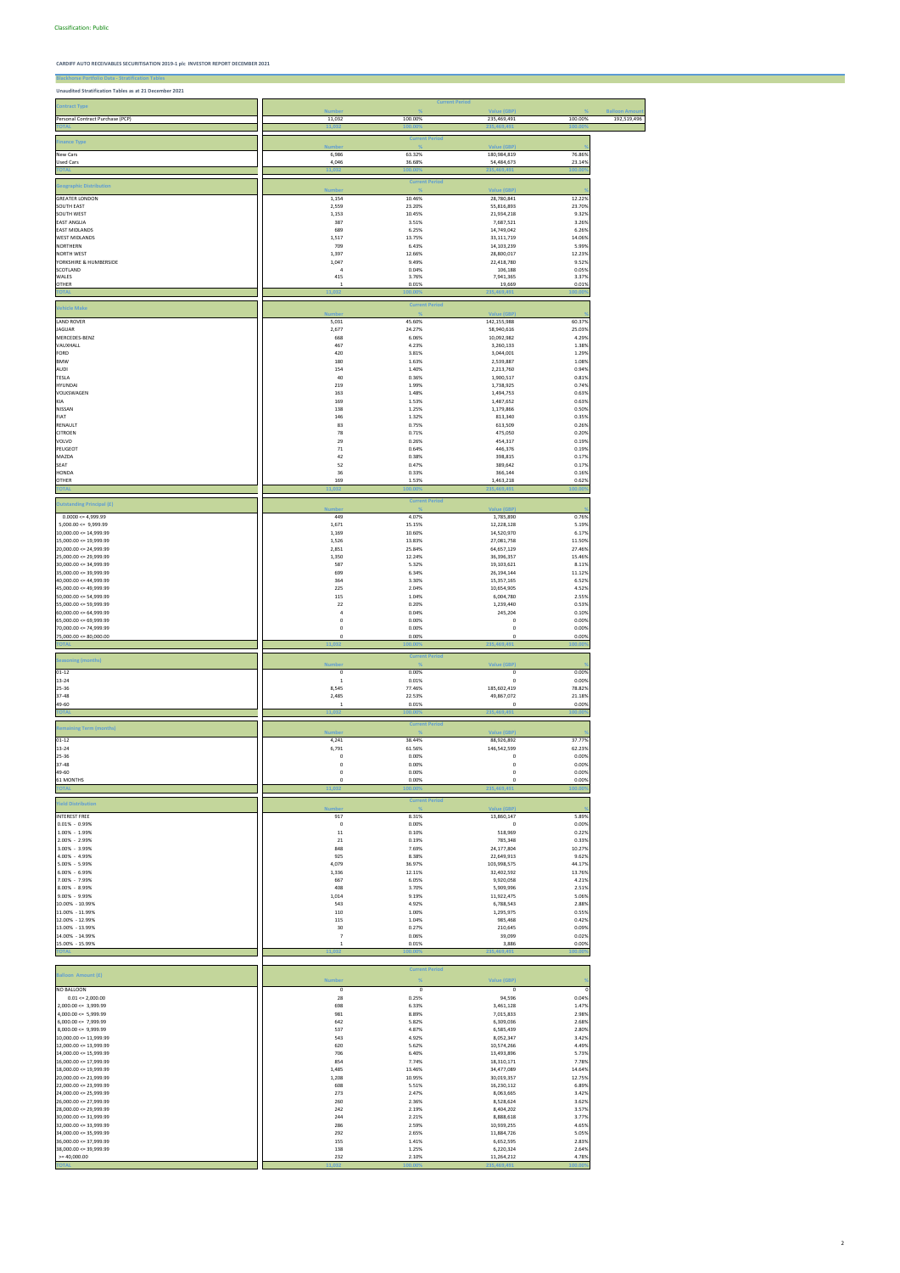**Blackhorse Portfolio Data - Stratification Tables Unaudited Stratification Tables as at 21 December 2021**

|                                                        |                                | <b>Current Period</b> |                            |                  |                     |
|--------------------------------------------------------|--------------------------------|-----------------------|----------------------------|------------------|---------------------|
| <b>Contract Type</b>                                   | Number                         | $\frac{9}{6}$         | Value (GBP)                | $\frac{9}{6}$    | <b>Balloon Amou</b> |
| Personal Contract Purchase (PCP)                       | 11,032                         | 100.00%               | 235,469,491                | 100.00%          | 192,519,496         |
|                                                        | 11,032                         | 100.00                | 235,469,491                | 100.00           |                     |
| <b>Finance Type</b>                                    |                                | <b>Current Period</b> |                            |                  |                     |
|                                                        | <b>Number</b><br>6,986         | 63.32%                | Value (GBP)<br>180,984,819 | 76.86%           |                     |
| New Cars<br>Used Cars                                  | 4,046                          | 36.68%                | 54,484,673                 | 23.14%           |                     |
| <b>TOTAL</b>                                           | 11,032                         | 100.00                | 235,469,491                | 100.00           |                     |
|                                                        |                                | <b>Current Period</b> |                            |                  |                     |
| <b>Geographic Distribution</b>                         | <b>Number</b>                  | %                     | <b>Value (GBP)</b>         |                  |                     |
| <b>GREATER LONDON</b>                                  | 1,154                          | 10.46%                | 28,780,841                 | 12.22%           |                     |
| <b>SOUTH EAST</b><br>SOUTH WEST                        | 2,559<br>1,153                 | 23.20%<br>10.45%      | 55,816,893<br>21,934,218   | 23.70%<br>9.32%  |                     |
| <b>EAST ANGLIA</b>                                     | 387                            | 3.51%                 | 7,687,521                  | 3.26%            |                     |
| <b>EAST MIDLANDS</b>                                   | 689                            | 6.25%                 | 14,749,042                 | 6.26%            |                     |
| <b>WEST MIDLANDS</b>                                   | 1,517                          | 13.75%                | 33,111,719                 | 14.06%           |                     |
| <b>NORTHERN</b><br><b>NORTH WEST</b>                   | 709<br>1,397                   | 6.43%<br>12.66%       | 14,103,239<br>28,800,017   | 5.99%<br>12.23%  |                     |
| YORKSHIRE & HUMBERSIDE                                 | 1,047                          | 9.49%                 | 22,418,780                 | 9.52%            |                     |
| SCOTLAND                                               | $\overline{4}$                 | 0.04%                 | 106,188                    | 0.05%            |                     |
| WALES<br><b>OTHER</b>                                  | 415<br>1                       | 3.76%<br>0.01%        | 7,941,365<br>19,669        | 3.37%<br>0.01%   |                     |
| <b>TOTAL</b>                                           | 11,032                         | .00.00                | 235,469,491                | 100.00           |                     |
|                                                        |                                |                       |                            |                  |                     |
| <b>Vehicle Make</b>                                    | <b>Number</b>                  | <b>Current Period</b> | <b>Value (GBP)</b>         |                  |                     |
| <b>LAND ROVER</b>                                      | 5,031                          | 45.60%                | 142,155,988                | 60.37%           |                     |
| <b>JAGUAR</b>                                          | 2,677                          | 24.27%                | 58,940,616                 | 25.03%           |                     |
| MERCEDES-BENZ                                          | 668                            | 6.06%                 | 10,092,982                 | 4.29%            |                     |
| VAUXHALL<br>FORD                                       | 467<br>420                     | 4.23%<br>3.81%        | 3,260,133<br>3,044,001     | 1.38%<br>1.29%   |                     |
| <b>BMW</b>                                             | 180                            | 1.63%                 | 2,539,887                  | 1.08%            |                     |
| AUDI                                                   | 154                            | 1.40%                 | 2,213,760                  | 0.94%            |                     |
| TESLA<br><b>HYUNDAI</b>                                | 40<br>219                      | 0.36%<br>1.99%        | 1,900,517                  | 0.81%<br>0.74%   |                     |
| VOLKSWAGEN                                             | 163                            | 1.48%                 | 1,738,925<br>1,494,753     | 0.63%            |                     |
| KIA                                                    | 169                            | 1.53%                 | 1,487,652                  | 0.63%            |                     |
| NISSAN                                                 | 138                            | 1.25%                 | 1,179,866                  | 0.50%            |                     |
| FIAT<br>RENAULT                                        | 146                            | 1.32%<br>0.75%        | 813,340                    | 0.35%<br>0.26%   |                     |
| <b>CITROEN</b>                                         | 83<br>78                       | 0.71%                 | 613,509<br>475,050         | 0.20%            |                     |
| VOLVO                                                  | 29                             | 0.26%                 | 454,317                    | 0.19%            |                     |
| PEUGEOT                                                | $71\,$                         | 0.64%                 | 446,376                    | 0.19%            |                     |
| MAZDA                                                  | 42                             | 0.38%<br>0.47%        | 398,815                    | 0.17%<br>0.17%   |                     |
| SEAT<br><b>HONDA</b>                                   | 52<br>36                       | 0.33%                 | 389,642<br>366,144         | 0.16%            |                     |
| <b>OTHER</b>                                           | 169                            | 1.53%                 | 1,463,218                  | 0.62%            |                     |
| <b>TOTAI</b>                                           | 11.032                         | 100.00                | 235.469.49                 | 100.00           |                     |
| <b>Outstanding Principal (£)</b>                       |                                | <b>Current Period</b> |                            |                  |                     |
|                                                        | <b>Numbe</b>                   | 4.07%                 | <b>Value (GBP)</b>         | 0.76%            |                     |
| $0.0000 \le 4,999.99$<br>$5,000.00 \leq 9,999.99$      | 449<br>1,671                   | 15.15%                | 1,785,890<br>12,228,128    | 5.19%            |                     |
| $10,000.00 \leq 14,999.99$                             | 1,169                          | 10.60%                | 14,520,970                 | 6.17%            |                     |
| $15,000.00 \leq 19,999.99$                             | 1,526                          | 13.83%                | 27,081,758                 | 11.50%           |                     |
| $20,000.00 \le 24,999.99$<br>$25,000.00 \le 29,999.99$ | 2,851<br>1,350                 | 25.84%<br>12.24%      | 64,657,129                 | 27.46%<br>15.46% |                     |
| $30,000.00 \leq 34,999.99$                             | 587                            | 5.32%                 | 36,396,357<br>19,103,621   | 8.11%            |                     |
| 35,000.00 <= 39,999.99                                 | 699                            | 6.34%                 | 26,194,144                 | 11.12%           |                     |
| $40,000.00 \le 44,999.99$                              | 364                            | 3.30%                 | 15,357,165                 | 6.52%            |                     |
| 45,000.00 <= 49,999.99<br>$50,000.00 \le 54,999.99$    | 225<br>115                     | 2.04%<br>1.04%        | 10,654,905<br>6,004,780    | 4.52%<br>2.55%   |                     |
| $55,000.00 \leq 59,999.99$                             | 22                             | 0.20%                 | 1,239,440                  | 0.53%            |                     |
| $60,000.00 \leq 64,999.99$                             | $\sqrt{4}$                     | 0.04%                 | 245,204                    | 0.10%            |                     |
| $65,000.00 \le 69,999.99$                              | 0                              | 0.00%                 | $\mathbf 0$                | 0.00%            |                     |
| 70,000.00 <= 74,999.99<br>$75,000.00 \le 80,000.00$    | 0<br>0                         | 0.00%<br>0.00%        | 0<br>$\mathbf 0$           | 0.00%<br>0.00%   |                     |
| <b>TOTAI</b>                                           | 11,032                         | 00.00                 | 235,469,491                | 100.009          |                     |
|                                                        |                                | <b>Current Period</b> |                            |                  |                     |
| <b>Seasoning (months)</b>                              | <b>Number</b>                  |                       | <b>Value (GBP)</b>         |                  |                     |
| $01 - 12$                                              | $\mathsf 0$                    | 0.00%                 | $\pmb{0}$                  | 0.00%            |                     |
| 13-24                                                  | $\mathbf 1$                    | 0.01%                 | $\mathbf 0$                | 0.00%            |                     |
| 25-36<br>37-48                                         | 8,545<br>2,485                 | 77.46%<br>22.53%      | 185,602,419<br>49,867,072  | 78.82%<br>21.18% |                     |
| 49-60                                                  | $\mathbf{1}$                   | 0.01%                 | 0                          | 0.00%            |                     |
| <b>TOTAL</b>                                           | 11,032                         | 100.00%               | 235,469,491                | 100.00%          |                     |
|                                                        |                                | <b>Current Period</b> |                            |                  |                     |
| <b>Remaining Term (months)</b>                         | <b>Number</b>                  | $\frac{1}{2}$         | Value (GBP)                |                  |                     |
| $01 - 12$                                              | 4,241                          | 38.44%                | 88,926,892                 | 37.77%           |                     |
| 13-24<br>25-36                                         | 6,791<br>$\pmb{0}$             | 61.56%<br>0.00%       | 146,542,599<br>0           | 62.23%<br>0.00%  |                     |
| 37-48                                                  | 0                              | 0.00%                 | $\mathsf 0$                | 0.00%            |                     |
| 49-60                                                  | 0                              | 0.00%                 | 0                          | 0.00%            |                     |
| <b>61 MONTHS</b>                                       | 0                              | 0.00%                 | 0                          | 0.00%            |                     |
| <b>TOTAL</b>                                           | 11,032                         | 100.00%               | 235,469,491                | 100.00%          |                     |
| <b>Yield Distribution</b>                              |                                | <b>Current Period</b> |                            |                  |                     |
| <b>INTEREST FREE</b>                                   | <b>Number</b><br>917           | 8.31%                 | Value (GBP)<br>13,860,147  | 5.89%            |                     |
| $0.01\% - 0.99\%$                                      | $\pmb{0}$                      | 0.00%                 | 0                          | 0.00%            |                     |
| 1.00% - 1.99%                                          | 11                             | 0.10%                 | 518,969                    | 0.22%            |                     |
| 2.00% - 2.99%                                          | 21                             | 0.19%                 | 785,348                    | 0.33%            |                     |
| 3.00% - 3.99%<br>4.00% - 4.99%                         | 848<br>925                     | 7.69%<br>8.38%        | 24,177,804<br>22,649,913   | 10.27%<br>9.62%  |                     |
| 5.00% - 5.99%                                          | 4,079                          | 36.97%                | 103,998,575                | 44.17%           |                     |
| 6.00% - 6.99%                                          | 1,336                          | 12.11%                | 32,402,592                 | 13.76%           |                     |
| 7.00% - 7.99%                                          | 667                            | 6.05%                 | 9,920,058                  | 4.21%            |                     |
| 8.00% - 8.99%<br>9.00% - 9.99%                         | 408                            | 3.70%                 | 5,909,996<br>11,922,475    | 2.51%<br>5.06%   |                     |
| 10.00% - 10.99%                                        | 1,014<br>543                   | 9.19%<br>4.92%        | 6,788,543                  | 2.88%            |                     |
| 11.00% - 11.99%                                        | 110                            | 1.00%                 | 1,295,975                  | 0.55%            |                     |
| 12.00% - 12.99%                                        | 115                            | 1.04%                 | 985,468                    | 0.42%            |                     |
| 13.00% - 13.99%<br>14.00% - 14.99%                     | 30<br>$\overline{\phantom{a}}$ | 0.27%<br>0.06%        | 210,645<br>39,099          | 0.09%<br>0.02%   |                     |
| 15.00% - 15.99%                                        | $\mathbf{1}$                   | 0.01%                 | 3,886                      | 0.00%            |                     |

**TOTAL 11,032 100.00% 235,469,491 100.00%**

|                            | <b>Current Period</b> |         |             |         |  |
|----------------------------|-----------------------|---------|-------------|---------|--|
| <b>Balloon Amount (£)</b>  | <b>Number</b>         | %       | Value (GBP) |         |  |
| <b>NO BALLOON</b>          | 0                     | 0       | 0           |         |  |
| $0.01 \le 2,000.00$        | 28                    | 0.25%   | 94,596      | 0.04%   |  |
| $2,000.00 \leq 3,999.99$   | 698                   | 6.33%   | 3,461,128   | 1.47%   |  |
| $4,000.00 \leq 5,999.99$   | 981                   | 8.89%   | 7,015,833   | 2.98%   |  |
| $6,000.00 \le 7,999.99$    | 642                   | 5.82%   | 6,309,036   | 2.68%   |  |
| $8.000.00 \leq 9.999.99$   | 537                   | 4.87%   | 6,585,439   | 2.80%   |  |
| $10,000.00 \leq 11,999.99$ | 543                   | 4.92%   | 8,052,347   | 3.42%   |  |
| $12,000.00 \leq 13,999.99$ | 620                   | 5.62%   | 10,574,266  | 4.49%   |  |
| $14,000.00 \leq 15,999.99$ | 706                   | 6.40%   | 13,493,896  | 5.73%   |  |
| $16,000.00 \leq 17,999.99$ | 854                   | 7.74%   | 18,310,171  | 7.78%   |  |
| $18,000.00 \leq 19,999.99$ | 1,485                 | 13.46%  | 34,477,089  | 14.64%  |  |
| $20,000.00 \le 21,999.99$  | 1,208                 | 10.95%  | 30,019,357  | 12.75%  |  |
| $22,000.00 \le 23,999.99$  | 608                   | 5.51%   | 16,230,112  | 6.89%   |  |
| $24,000.00 \le 25,999.99$  | 273                   | 2.47%   | 8,063,665   | 3.42%   |  |
| $26,000.00 \le 27,999.99$  | 260                   | 2.36%   | 8,528,624   | 3.62%   |  |
| $28,000.00 \le 29,999.99$  | 242                   | 2.19%   | 8,404,202   | 3.57%   |  |
| $30,000.00 \leq 31,999.99$ | 244                   | 2.21%   | 8,888,618   | 3.77%   |  |
| $32,000.00 \leq 33,999.99$ | 286                   | 2.59%   | 10,939,255  | 4.65%   |  |
| $34,000.00 \leq 35,999.99$ | 292                   | 2.65%   | 11,884,726  | 5.05%   |  |
| 36,000.00 <= 37,999.99     | 155                   | 1.41%   | 6,652,595   | 2.83%   |  |
| 38,000.00 <= 39,999.99     | 138                   | 1.25%   | 6,220,324   | 2.64%   |  |
| $>= 40,000.00$             | 232                   | 2.10%   | 11,264,212  | 4.78%   |  |
| <b>TOTAL</b>               | 11,032                | 100.00% | 235,469,491 | 100.00% |  |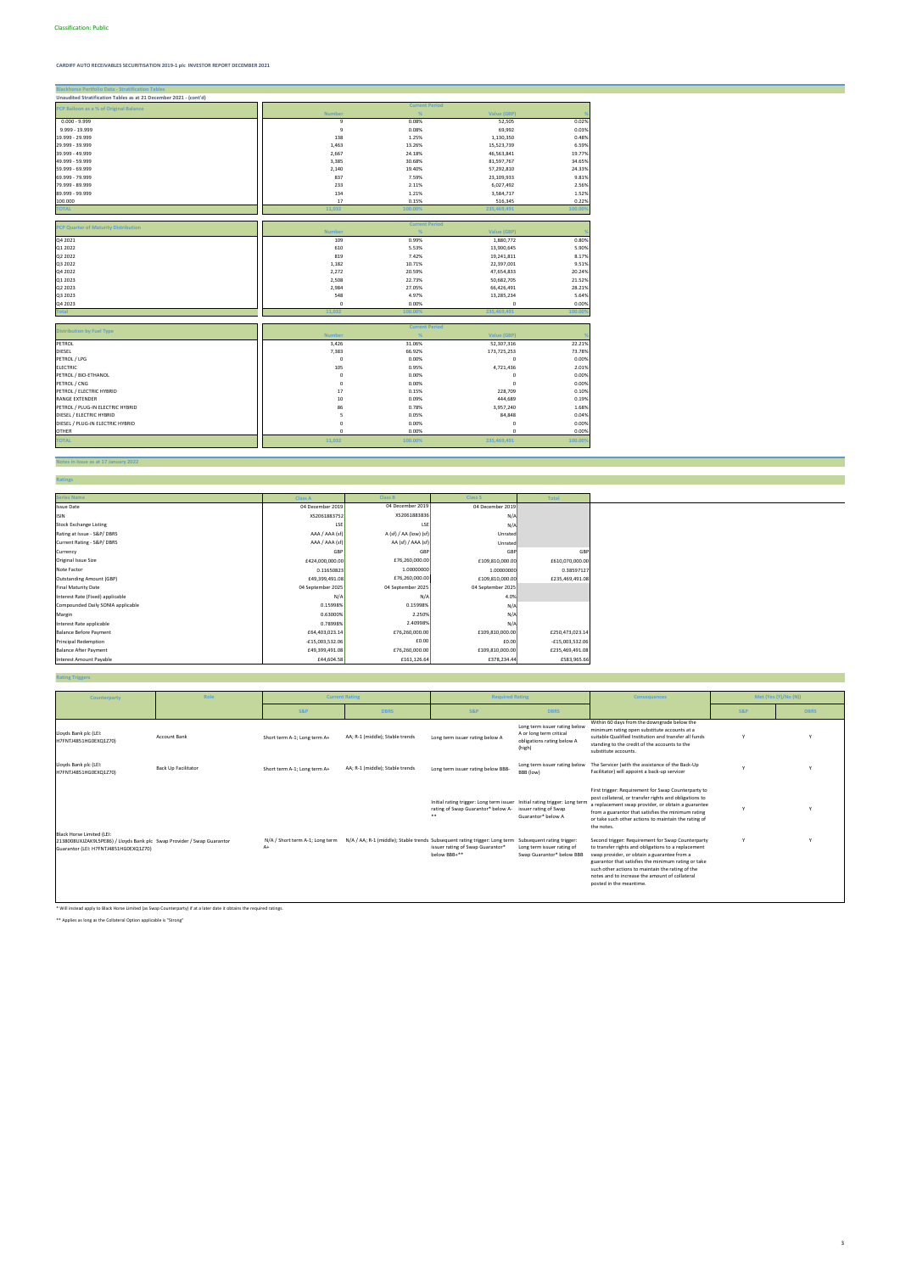**Blackhorse Portfolio Data - Stratification Tables**

## **Notes in Issue as at 17 January 2022**

**Ratings**

| Unaudited Stratification Tables as at 21 December 2021 - (cont'd) |               |         |                       |         |
|-------------------------------------------------------------------|---------------|---------|-----------------------|---------|
| PCP Balloon as a % of Original Balance                            |               |         | <b>Current Period</b> |         |
|                                                                   | <b>Number</b> | %       | Value (GBP)           | 0.02%   |
| $0.000 - 9.999$                                                   | 9             | 0.08%   | 52,505                |         |
| 9.999 - 19.999                                                    | 9             | 0.08%   | 69,992                | 0.03%   |
| 19.999 - 29.999                                                   | 138           | 1.25%   | 1,130,350             | 0.48%   |
| 29.999 - 39.999                                                   | 1,463         | 13.26%  | 15,523,739            | 6.59%   |
| 39.999 - 49.999                                                   | 2,667         | 24.18%  | 46,563,841            | 19.77%  |
| 49.999 - 59.999                                                   | 3,385         | 30.68%  | 81,597,767            | 34.65%  |
| 59.999 - 69.999                                                   | 2,140         | 19.40%  | 57,292,810            | 24.33%  |
| 69.999 - 79.999                                                   | 837           | 7.59%   | 23,109,933            | 9.81%   |
| 79.999 - 89.999                                                   | 233           | 2.11%   | 6,027,492             | 2.56%   |
| 89.999 - 99.999                                                   | 134           | 1.21%   | 3,584,717             | 1.52%   |
| 100.000                                                           | 17            | 0.15%   | 516,345               | 0.22%   |
| <b>TOTAL</b>                                                      | 11,032        | 100.00% | 235,469,491           | 100.00% |
|                                                                   |               |         |                       |         |
| PCP Quarter of Maturity Distribution                              |               |         | <b>Current Period</b> |         |
|                                                                   | <b>Number</b> | %       | Value (GBP)           |         |
| Q4 2021                                                           | 109           | 0.99%   | 1,880,772             | 0.80%   |
| Q1 2022                                                           | 610           | 5.53%   | 13,900,645            | 5.90%   |
| Q2 2022                                                           | 819           | 7.42%   | 19,241,811            | 8.17%   |
| Q3 2022                                                           | 1,182         | 10.71%  | 22,397,001            | 9.51%   |
| Q4 2022                                                           | 2,272         | 20.59%  | 47,654,833            | 20.24%  |
| Q1 2023                                                           | 2,508         | 22.73%  | 50,682,705            | 21.52%  |
| Q2 2023                                                           | 2,984         | 27.05%  | 66,426,491            | 28.21%  |
| Q3 2023                                                           | 548           | 4.97%   | 13,285,234            | 5.64%   |
| Q4 2023                                                           | 0             | 0.00%   | 0                     | 0.00%   |
| <b>Total</b>                                                      | 11,032        | 100.00% | 235,469,491           | 100.009 |
|                                                                   |               |         |                       |         |
|                                                                   |               |         | <b>Current Period</b> |         |
| <b>Distribution by Fuel Type</b>                                  | <b>Number</b> | %       | Value (GBP)           |         |
| PETROL                                                            | 3,426         | 31.06%  | 52,307,316            | 22.21%  |
| <b>DIESEL</b>                                                     | 7,383         | 66.92%  | 173,725,253           | 73.78%  |
| PETROL / LPG                                                      | 0             | 0.00%   | $\mathsf 0$           | 0.00%   |
| <b>ELECTRIC</b>                                                   | 105           | 0.95%   | 4,721,436             | 2.01%   |
| PETROL / BIO-ETHANOL                                              | 0             | 0.00%   | 0                     | 0.00%   |
| PETROL / CNG                                                      | 0             | 0.00%   | O                     | 0.00%   |
| PETROL / ELECTRIC HYBRID                                          | 17            | 0.15%   | 228,709               | 0.10%   |
| <b>RANGE EXTENDER</b>                                             | 10            | 0.09%   | 444,689               | 0.19%   |
| PETROL / PLUG-IN ELECTRIC HYBRID                                  | 86            | 0.78%   | 3,957,240             | 1.68%   |
| DIESEL / ELECTRIC HYBRID                                          | 5             | 0.05%   | 84,848                | 0.04%   |
|                                                                   |               |         |                       |         |
| DIESEL / PLUG-IN ELECTRIC HYBRID                                  | 0             | 0.00%   | 0                     | 0.00%   |
| <b>OTHER</b>                                                      | $\mathbf 0$   | 0.00%   | $\mathbf 0$           | 0.00%   |
| <b>TOTAL</b>                                                      | 11,032        | 100.00% | 235,469,491           | 100.00% |

### **Rating Triggers**

| <b>Series Name</b>                | <b>Class A</b>    | <b>Class B</b>         | <b>Class S</b>    | <b>Total</b>      |
|-----------------------------------|-------------------|------------------------|-------------------|-------------------|
| <b>Issue Date</b>                 | 04 December 2019  | 04 December 2019       | 04 December 2019  |                   |
| <b>ISIN</b>                       | XS2061883752      | XS2061883836           | N/A               |                   |
| <b>Stock Exchange Listing</b>     | LSE               | LSE                    | N/A               |                   |
| Rating at Issue - S&P/DBRS        | AAA / AAA (sf)    | A (sf) / AA (low) (sf) | Unrated           |                   |
| Current Rating - S&P/DBRS         | AAA / AAA (sf)    | AA (sf) / AAA (sf)     | Unrated           |                   |
| Currency                          | GBP               | GBP                    | GBP               | GBP               |
| Original Issue Size               | £424,000,000.00   | £76,260,000.00         | £109,810,000.00   | £610,070,000.00   |
| Note Factor                       | 0.11650823        | 1.00000000             | 1.00000000        | 0.38597127        |
| <b>Outstanding Amount (GBP)</b>   | £49,399,491.08    | £76,260,000.00         | £109,810,000.00   | £235,469,491.08   |
| <b>Final Maturity Date</b>        | 04 September 2025 | 04 September 2025      | 04 September 2025 |                   |
| Interest Rate (Fixed) applicable  | N/A               | N/A                    | 4.0%              |                   |
| Compounded Daily SONIA applicable | 0.15998%          | 0.15998%               | N/A               |                   |
| Margin                            | 0.63000%          | 2.250%                 | N/A               |                   |
| Interest Rate applicable          | 0.78998%          | 2.40998%               | N/A               |                   |
| <b>Balance Before Payment</b>     | £64,403,023.14    | £76,260,000.00         | £109,810,000.00   | £250,473,023.14   |
| <b>Principal Redemption</b>       | $-£15,003,532.06$ | £0.00                  | £0.00             | $-£15,003,532.06$ |
| <b>Balance After Payment</b>      | £49,399,491.08    | £76,260,000.00         | £109,810,000.00   | £235,469,491.08   |
| <b>Interest Amount Payable</b>    | £44,604.58        | £161,126.64            | £378,234.44       | £583,965.66       |

\* Will instead apply to Black Horse Limited (as Swap Counterparty) if at a later date it obtains the required ratings.

\*\* Applies as long as the Collateral Option applicable is "Strong"

| Counterparty                                                                                                                                 | Role                       | <b>Current Rating</b>                   |                                                                                                       | <b>Required Rating</b>                                                                                                 |                                                                                                  | <b>Consequences</b>                                                                                                                                                                                                                                                                                                                             |                | Met (Yes (Y)/No (N)) |
|----------------------------------------------------------------------------------------------------------------------------------------------|----------------------------|-----------------------------------------|-------------------------------------------------------------------------------------------------------|------------------------------------------------------------------------------------------------------------------------|--------------------------------------------------------------------------------------------------|-------------------------------------------------------------------------------------------------------------------------------------------------------------------------------------------------------------------------------------------------------------------------------------------------------------------------------------------------|----------------|----------------------|
|                                                                                                                                              |                            | <b>S&amp;P</b>                          | <b>DBRS</b>                                                                                           | <b>S&amp;P</b>                                                                                                         | <b>DBRS</b>                                                                                      |                                                                                                                                                                                                                                                                                                                                                 | <b>S&amp;P</b> | <b>DBRS</b>          |
| Lloyds Bank plc (LEI:<br>H7FNTJ4851HG0EXQ1Z70)                                                                                               | Account Bank               | Short term A-1; Long term A+            | AA; R-1 (middle); Stable trends                                                                       | Long term issuer rating below A                                                                                        | Long term issuer rating below<br>A or long term critical<br>obligations rating below A<br>(high) | Within 60 days from the downgrade below the<br>minimum rating open substitute accounts at a<br>suitable Qualified Institution and transfer all funds<br>standing to the credit of the accounts to the<br>substitute accounts.                                                                                                                   | Y              |                      |
| Lloyds Bank plc (LEI:<br>H7FNTJ4851HG0EXQ1Z70)                                                                                               | <b>Back Up Facilitator</b> | Short term A-1; Long term A+            | AA; R-1 (middle); Stable trends                                                                       | Long term issuer rating below BBB-                                                                                     | Long term issuer rating below<br>BBB (low)                                                       | The Servicer (with the assistance of the Back-Up<br>Facilitator) will appoint a back-up servicer                                                                                                                                                                                                                                                |                |                      |
|                                                                                                                                              |                            |                                         |                                                                                                       | Initial rating trigger: Long term issuer Initial rating trigger: Long term<br>rating of Swap Guarantor* below A-<br>** | issuer rating of Swap<br>Guarantor* below A                                                      | First trigger: Requirement for Swap Counterparty to<br>post collateral, or transfer rights and obligations to<br>a replacement swap provider, or obtain a guarantee<br>from a guarantor that satisfies the minimum rating<br>or take such other actions to maintain the rating of<br>the notes.                                                 |                |                      |
| Black Horse Limited (LEI:<br>2138008UXJZAK9L5PE86) / Lloyds Bank plc Swap Provider / Swap Guarantor<br>Guarantor (LEI: H7FNTJ4851HG0EXQ1Z70) |                            | N/A / Short term A-1; Long term<br>$A+$ | N/A / AA; R-1 (middle); Stable trends Subsequent rating trigger: Long term Subsequent rating trigger: | issuer rating of Swap Guarantor*<br>below BBB+**                                                                       | Long term issuer rating of<br>Swap Guarantor* below BBB                                          | Second trigger: Requirement for Swap Counterparty<br>to transfer rights and obligations to a replacement<br>swap provider, or obtain a guarantee from a<br>guarantor that satisfies the minimum rating or take<br>such other actions to maintain the rating of the<br>notes and to increase the amount of collateral<br>posted in the meantime. | $\vee$         |                      |

3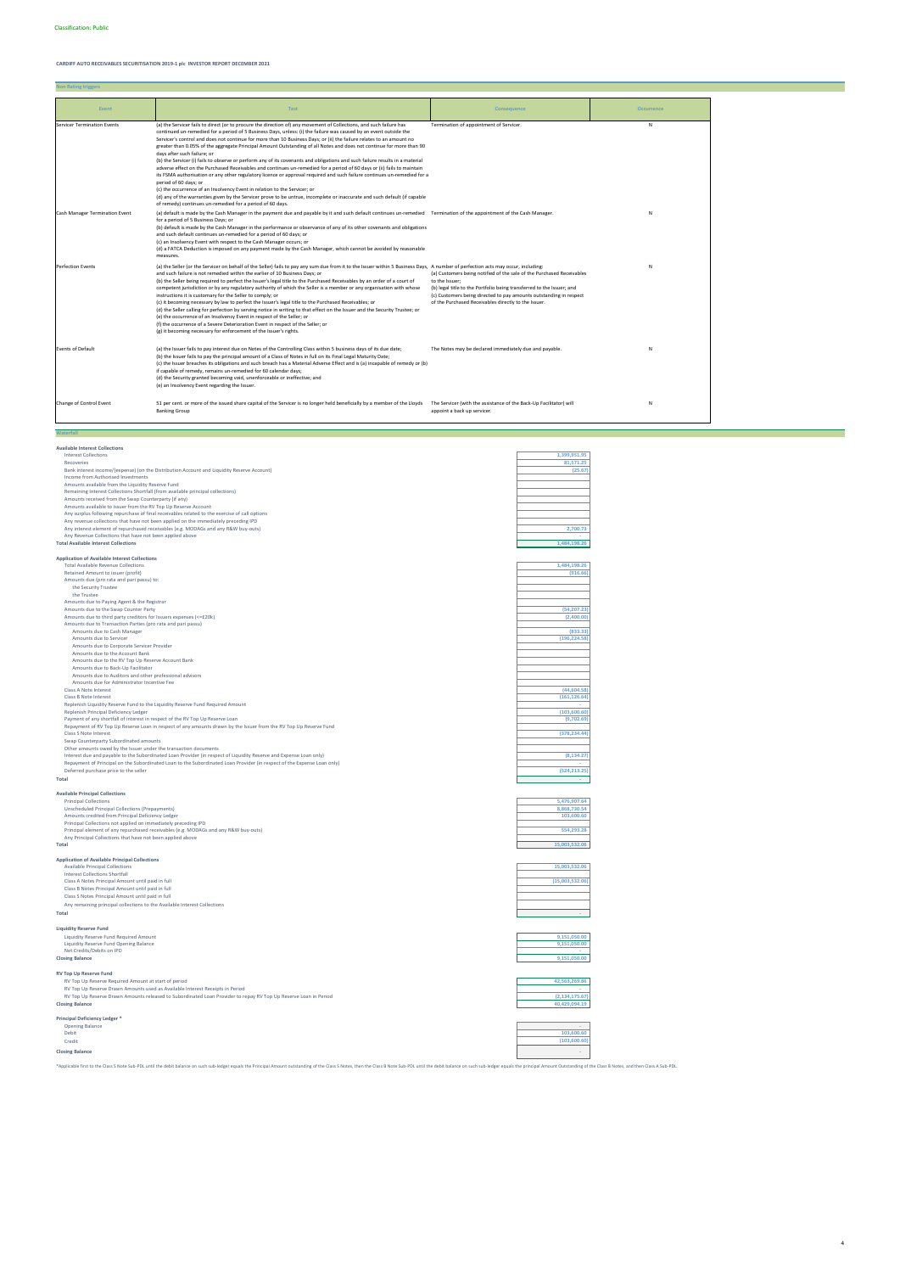**Non Rating triggers**

**Available Interest Collections**

| <b>Interest Collections</b>                                                                                             | 1,399,951.95    |
|-------------------------------------------------------------------------------------------------------------------------|-----------------|
| Recoveries                                                                                                              | 81.571.25       |
| Bank interest income/(expense) (on the Distribution Account and Liquidity Reserve Account)                              | (25.67)         |
| Income from Authorised Investments                                                                                      |                 |
| Amounts available from the Liquidity Reserve Fund                                                                       |                 |
| Remaining Interest Collections Shortfall (from available principal collections)                                         |                 |
| Amounts received from the Swap Counterparty (if any)                                                                    |                 |
| Amounts available to Issuer from the RV Top Up Reserve Account                                                          |                 |
| Any surplus following repurchase of final receivables related to the exercise of call options                           |                 |
| Any revenue collections that have not been applied on the immediately preceding IPD                                     |                 |
| Any interest element of repurchased receivables (e.g. MODAGs and any R&W buy-outs)                                      | 2,700.73        |
|                                                                                                                         |                 |
| Any Revenue Collections that have not been applied above                                                                |                 |
| <b>Total Available Interest Collections</b>                                                                             | 1.484.198.26    |
| <b>Application of Available Interest Collections</b>                                                                    |                 |
| <b>Total Available Revenue Collections</b>                                                                              | 1,484,198.26    |
|                                                                                                                         |                 |
| Retained Amount to issuer (profit)                                                                                      | (916.66)        |
| Amounts due (pro rata and pari passu) to:                                                                               |                 |
| the Security Trustee                                                                                                    |                 |
| the Trustee                                                                                                             |                 |
| Amounts due to Paying Agent & the Registrar                                                                             |                 |
| Amounts due to the Swap Counter Party                                                                                   | (54, 207.23)    |
| Amounts due to third party creditors for Issuers expenses (<=£20k)                                                      | (2,400.00)      |
| Amounts due to Transaction Parties (pro rata and pari passu)                                                            |                 |
| Amounts due to Cash Manager                                                                                             | (833.33)        |
| Amounts due to Servicer                                                                                                 | (196, 224.58)   |
| Amounts due to Corporate Servicer Provider                                                                              |                 |
| Amounts due to the Account Bank                                                                                         |                 |
| Amounts due to the RV Top Up Reserve Account Bank                                                                       |                 |
| Amounts due to Back-Up Facilitator                                                                                      |                 |
| Amounts due to Auditors and other professional advisors                                                                 |                 |
| Amounts due for Administrator Incentive Fee                                                                             |                 |
| Class A Note Interest                                                                                                   | (44, 604.58)    |
| Class B Note Interest                                                                                                   | (161, 126.64)   |
| Replenish Liquidity Reserve Fund to the Liquidity Reserve Fund Required Amount                                          |                 |
| Replenish Principal Deficiency Ledger                                                                                   | (103, 600.60)   |
| Payment of any shortfall of interest in respect of the RV Top Up Reserve Loan                                           | (9,702.69)      |
| Repayment of RV Top Up Reserve Loan in respect of any amounts drawn by the Issuer from the RV Top Up Reserve Fund       |                 |
| Class S Note Interest                                                                                                   | (378, 234.44)   |
| Swap Counterparty Subordinated amounts                                                                                  |                 |
| Other amounts owed by the Issuer under the transaction documents                                                        |                 |
| Interest due and payable to the Subordinated Loan Provider (in respect of Liquidity Reserve and Expense Loan only)      | (8, 134.27)     |
| Repayment of Principal on the Subordinated Loan to the Subordinated Loan Provider (in respect of the Expense Loan only) |                 |
| Deferred purchase price to the seller                                                                                   | (524, 213.25)   |
|                                                                                                                         |                 |
| <b>Total</b>                                                                                                            |                 |
| <b>Available Principal Collections</b>                                                                                  |                 |
| <b>Principal Collections</b>                                                                                            | 5,476,907.64    |
|                                                                                                                         | 8,868,730.54    |
| Unscheduled Principal Collections (Prepayments)                                                                         | 103,600.60      |
| Amounts credited from Principal Deficiency Ledger                                                                       |                 |
| Principal Collections not applied on immediately preceding IPD                                                          |                 |
| Principal element of any repurchased receivables (e.g. MODAGs and any R&W buy-outs)                                     | 554,293.28      |
| Any Principal Collections that have not been applied above                                                              |                 |
| Total                                                                                                                   | 15.003.532.06   |
|                                                                                                                         |                 |
| <b>Application of Available Principal Collections</b>                                                                   |                 |
| <b>Available Principal Collections</b>                                                                                  | 15,003,532.06   |
| Interest Collections Shortfall                                                                                          |                 |
| Class A Notes Principal Amount until paid in full                                                                       | (15,003,532.06) |
| Class B Notes Principal Amount until paid in full                                                                       |                 |
| Class S Notes Principal Amount until paid in full                                                                       |                 |
| Any remaining principal collections to the Available Interest Collections                                               |                 |
| Total                                                                                                                   |                 |
|                                                                                                                         |                 |
| <b>Liquidity Reserve Fund</b>                                                                                           |                 |
| Liquidity Reserve Fund Required Amount                                                                                  | 9.151.050.00    |
| Liquidity Reserve Fund Opening Balance                                                                                  | 9,151,050.00    |
| Net Credits/Debits on IPD                                                                                               |                 |
| <b>Closing Balance</b>                                                                                                  | 9,151,050.00    |
|                                                                                                                         |                 |

# **RV Top Up Reserve Fund**

| RV Top Up Reserve Required Amount at start of period                                                             | 42.563.269.86  |
|------------------------------------------------------------------------------------------------------------------|----------------|
| RV Top Up Reserve Drawn Amounts used as Available Interest Receipts in Period                                    |                |
| RV Top Up Reserve Drawn Amounts released to Subordinated Loan Provider to repay RV Top Up Reserve Loan in Period | (2.134.175.67) |
| <b>Closing Balance</b>                                                                                           | 40.429.094.19  |
|                                                                                                                  |                |

| Event                              | <b>Test</b>                                                                                                                                                                                                                                                                                                                                                                                                                                                                                                                                                                                                                                                                                                                                                                                                                                                                                                                                                                                                                                                                                                                                                                                                    | <b>Consequence</b>                                                                                                                                                                                                                                                                             | <b>Occurrence</b> |
|------------------------------------|----------------------------------------------------------------------------------------------------------------------------------------------------------------------------------------------------------------------------------------------------------------------------------------------------------------------------------------------------------------------------------------------------------------------------------------------------------------------------------------------------------------------------------------------------------------------------------------------------------------------------------------------------------------------------------------------------------------------------------------------------------------------------------------------------------------------------------------------------------------------------------------------------------------------------------------------------------------------------------------------------------------------------------------------------------------------------------------------------------------------------------------------------------------------------------------------------------------|------------------------------------------------------------------------------------------------------------------------------------------------------------------------------------------------------------------------------------------------------------------------------------------------|-------------------|
| <b>Servicer Termination Events</b> | (a) the Servicer fails to direct (or to procure the direction of) any movement of Collections, and such failure has<br>continued un-remedied for a period of 5 Business Days, unless: (i) the failure was caused by an event outside the<br>Servicer's control and does not continue for more than 10 Business Days; or (ii) the failure relates to an amount no<br>greater than 0.05% of the aggregate Principal Amount Outstanding of all Notes and does not continue for more than 90<br>days after such failure; or<br>(b) the Servicer (i) fails to observe or perform any of its covenants and obligations and such failure results in a material<br>adverse effect on the Purchased Receivables and continues un-remedied for a period of 60 days or (ii) fails to maintain<br>its FSMA authorisation or any other regulatory licence or approval required and such failure continues un-remedied for a<br>period of 60 days; or<br>(c) the occurrence of an Insolvency Event in relation to the Servicer; or<br>(d) any of the warranties given by the Servicer prove to be untrue, incomplete or inaccurate and such default (if capable<br>of remedy) continues un-remedied for a period of 60 days. | Termination of appointment of Servicer.                                                                                                                                                                                                                                                        | N                 |
| Cash Manager Termination Event     | (a) default is made by the Cash Manager in the payment due and payable by it and such default continues un-remedied Termination of the appointment of the Cash Manager.<br>for a period of 5 Business Days; or<br>(b) default is made by the Cash Manager in the performance or observance of any of its other covenants and obligations<br>and such default continues un-remedied for a period of 60 days; or<br>(c) an Insolvency Event with respect to the Cash Manager occurs; or<br>(d) a FATCA Deduction is imposed on any payment made by the Cash Manager, which cannot be avoided by reasonable<br>measures.                                                                                                                                                                                                                                                                                                                                                                                                                                                                                                                                                                                          |                                                                                                                                                                                                                                                                                                | N                 |
| <b>Perfection Events</b>           | (a) the Seller (or the Servicer on behalf of the Seller) fails to pay any sum due from it to the Issuer within 5 Business Days, A number of perfection acts may occur, including:<br>and such failure is not remedied within the earlier of 10 Business Days; or<br>(b) the Seller being required to perfect the Issuer's legal title to the Purchased Receivables by an order of a court of<br>competent jurisdiction or by any regulatory authority of which the Seller is a member or any organisation with whose<br>instructions it is customary for the Seller to comply; or<br>(c) it becoming necessary by law to perfect the Issuer's legal title to the Purchased Receivables; or<br>(d) the Seller calling for perfection by serving notice in writing to that effect on the Issuer and the Security Trustee; or<br>(e) the occurrence of an Insolvency Event in respect of the Seller; or<br>(f) the occurrence of a Severe Deterioration Event in respect of the Seller; or<br>(g) it becoming necessary for enforcement of the Issuer's rights.                                                                                                                                                   | (a) Customers being notified of the sale of the Purchased Receivables<br>to the Issuer;<br>(b) legal title to the Portfolio being transferred to the Issuer; and<br>(c) Customers being directed to pay amounts outstanding in respect<br>of the Purchased Receivables directly to the Issuer. | N                 |
| <b>Events of Default</b>           | (a) the Issuer fails to pay interest due on Notes of the Controlling Class within 5 business days of its due date;<br>(b) the Issuer fails to pay the principal amount of a Class of Notes in full on its Final Legal Maturity Date;<br>(c) the Issuer breaches its obligations and such breach has a Material Adverse Effect and is (a) incapable of remedy or (b)<br>if capable of remedy, remains un-remedied for 60 calendar days;<br>(d) the Security granted becoming void, unenforceable or ineffective; and<br>(e) an Insolvency Event regarding the Issuer.                                                                                                                                                                                                                                                                                                                                                                                                                                                                                                                                                                                                                                           | The Notes may be declared immediately due and payable.                                                                                                                                                                                                                                         | N                 |
| Change of Control Event            | 51 per cent. or more of the issued share capital of the Servicer is no longer held beneficially by a member of the Lloyds<br><b>Banking Group</b>                                                                                                                                                                                                                                                                                                                                                                                                                                                                                                                                                                                                                                                                                                                                                                                                                                                                                                                                                                                                                                                              | The Servicer (with the assistance of the Back-Up Facilitator) will<br>appoint a back up servicer.                                                                                                                                                                                              | N                 |

| Principal Deficiency Ledger * |              |
|-------------------------------|--------------|
| Opening Balance               |              |
| Debit                         | 103,600.60   |
| Credit                        | (103,600.60) |
| <b>Closing Balance</b>        |              |

\*Applicable first to the Class S Note Sub-PDL until the debit balance on such sub-ledger equals the Principal Amount outstanding of the Class S Notes, then the Class B Note Sub-PDL until the debit balance on such sub-ledge